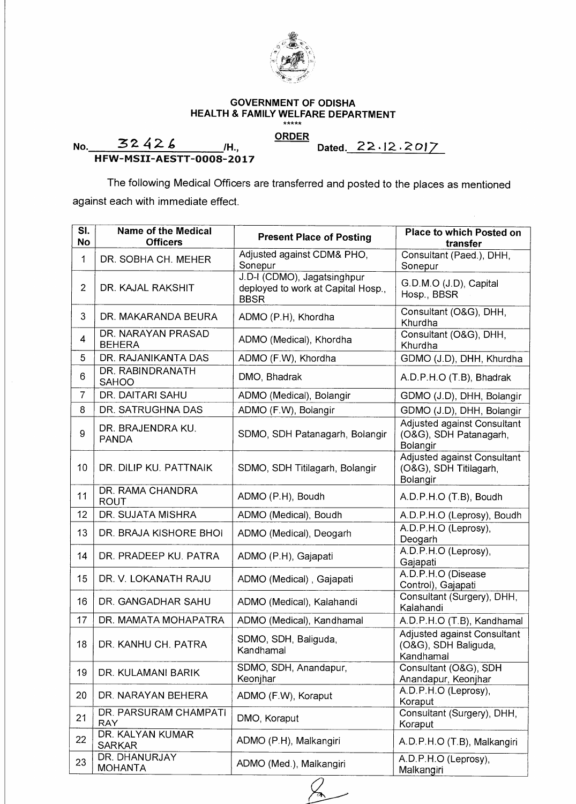

## **GOVERNMENT OF ODISHA HEALTH & FAMILY WELFARE DEPARTMENT**

**ORDER** 

**No. 32426** /H.,

 $\hat{\boldsymbol{\cdot}$ 

**Dated.22•12.2oI7** 

**HFW-MSII-AESTT-0008-2017** 

The following Medical Officers are transferred and posted to the places as mentioned against each with immediate effect.

| SI.<br>No      | <b>Name of the Medical</b><br><b>Officers</b> | <b>Present Place of Posting</b>                                                  | <b>Place to which Posted on</b><br>transfer                              |
|----------------|-----------------------------------------------|----------------------------------------------------------------------------------|--------------------------------------------------------------------------|
| 1              | DR. SOBHA CH. MEHER                           | Adjusted against CDM& PHO,<br>Sonepur                                            | Consultant (Paed.), DHH,<br>Sonepur                                      |
| $\overline{2}$ | DR. KAJAL RAKSHIT                             | J.D-I (CDMO), Jagatsinghpur<br>deployed to work at Capital Hosp.,<br><b>BBSR</b> | G.D.M.O (J.D), Capital<br>Hosp., BBSR                                    |
| 3              | DR. MAKARANDA BEURA                           | ADMO (P.H), Khordha                                                              | Consultant (O&G), DHH,<br>Khurdha                                        |
| 4              | DR. NARAYAN PRASAD<br><b>BEHERA</b>           | ADMO (Medical), Khordha                                                          | Consultant (O&G), DHH,<br>Khurdha                                        |
| 5              | DR. RAJANIKANTA DAS                           | ADMO (F.W), Khordha                                                              | GDMO (J.D), DHH, Khurdha                                                 |
| 6              | DR. RABINDRANATH<br><b>SAHOO</b>              | DMO, Bhadrak                                                                     | A.D.P.H.O (T.B), Bhadrak                                                 |
| $\overline{7}$ | DR. DAITARI SAHU                              | ADMO (Medical), Bolangir                                                         | GDMO (J.D), DHH, Bolangir                                                |
| 8              | DR. SATRUGHNA DAS                             | ADMO (F.W), Bolangir                                                             | GDMO (J.D), DHH, Bolangir                                                |
| 9              | DR. BRAJENDRA KU.<br><b>PANDA</b>             | SDMO, SDH Patanagarh, Bolangir                                                   | <b>Adjusted against Consultant</b><br>(O&G), SDH Patanagarh,<br>Bolangir |
| 10             | DR. DILIP KU. PATTNAIK                        | SDMO, SDH Titilagarh, Bolangir                                                   | Adjusted against Consultant<br>(O&G), SDH Titilagarh,<br>Bolangir        |
| 11             | DR. RAMA CHANDRA<br><b>ROUT</b>               | ADMO (P.H), Boudh                                                                | A.D.P.H.O (T.B), Boudh                                                   |
| 12             | DR. SUJATA MISHRA                             | ADMO (Medical), Boudh                                                            | A.D.P.H.O (Leprosy), Boudh                                               |
| 13             | DR. BRAJA KISHORE BHOI                        | ADMO (Medical), Deogarh                                                          | A.D.P.H.O (Leprosy),<br>Deogarh                                          |
| 14             | DR. PRADEEP KU. PATRA                         | ADMO (P.H), Gajapati                                                             | A.D.P.H.O (Leprosy),<br>Gajapati                                         |
| 15             | DR. V. LOKANATH RAJU                          | ADMO (Medical), Gajapati                                                         | A.D.P.H.O (Disease<br>Control), Gajapati                                 |
| 16             | DR. GANGADHAR SAHU                            | ADMO (Medical), Kalahandi                                                        | Consultant (Surgery), DHH,<br>Kalahandi                                  |
| 17             | DR. MAMATA MOHAPATRA                          | ADMO (Medical), Kandhamal                                                        | A.D.P.H.O (T.B), Kandhamal                                               |
| 18             | DR. KANHU CH. PATRA                           | SDMO, SDH, Baliguda,<br>Kandhamal                                                | Adjusted against Consultant<br>(O&G), SDH Baliguda,<br>Kandhamal         |
| 19             | DR. KULAMANI BARIK                            | SDMO, SDH, Anandapur,<br>Keonjhar                                                | Consultant (O&G), SDH<br>Anandapur, Keonjhar                             |
| 20             | DR. NARAYAN BEHERA                            | ADMO (F.W), Koraput                                                              | A.D.P.H.O (Leprosy),<br>Koraput                                          |
| 21             | DR. PARSURAM CHAMPATI<br><b>RAY</b>           | DMO, Koraput                                                                     | Consultant (Surgery), DHH,<br>Koraput                                    |
| 22             | DR. KALYAN KUMAR<br><b>SARKAR</b>             | ADMO (P.H), Malkangiri                                                           | A.D.P.H.O (T.B), Malkangiri                                              |
| 23             | DR. DHANURJAY<br><b>MOHANTA</b>               | ADMO (Med.), Malkangiri                                                          | A.D.P.H.O (Leprosy),<br>Malkangiri                                       |

 $\&$